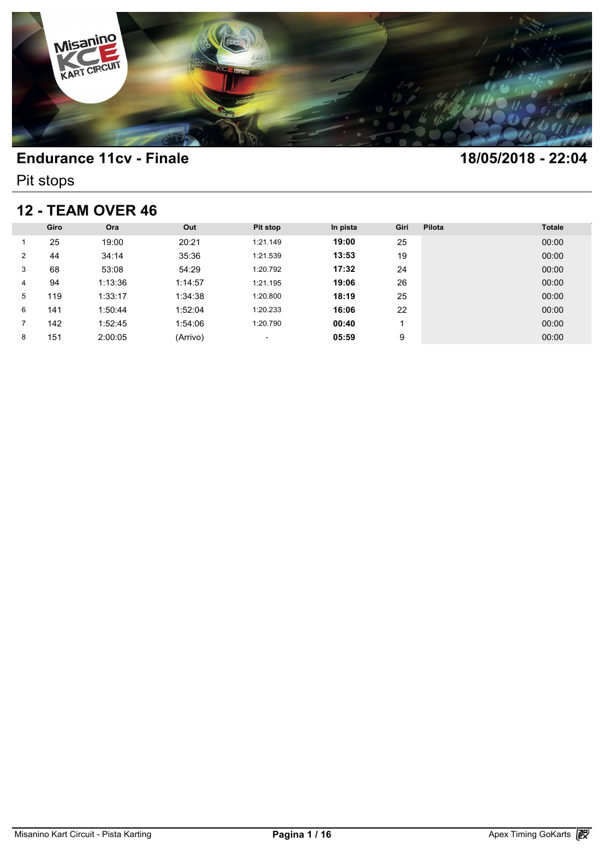

Pit stops

### **12 - TEAM OVER 46**

| <b>12 - TEAM OVER 46</b> |      |         |          |                          |          |      |        |               |  |
|--------------------------|------|---------|----------|--------------------------|----------|------|--------|---------------|--|
|                          | Giro | Ora     | Out      | <b>Pit stop</b>          | In pista | Giri | Pilota | <b>Totale</b> |  |
|                          | 25   | 19:00   | 20:21    | 1:21.149                 | 19:00    | 25   |        | 00:00         |  |
| 2                        | 44   | 34:14   | 35:36    | 1:21.539                 | 13:53    | 19   |        | 00:00         |  |
| 3                        | 68   | 53:08   | 54:29    | 1:20.792                 | 17:32    | 24   |        | 00:00         |  |
| 4                        | 94   | 1:13:36 | 1:14:57  | 1:21.195                 | 19:06    | 26   |        | 00:00         |  |
| 5                        | 119  | 1:33:17 | 1:34:38  | 1:20.800                 | 18:19    | 25   |        | 00:00         |  |
| 6                        | 141  | 1:50:44 | 1:52:04  | 1:20.233                 | 16:06    | 22   |        | 00:00         |  |
| 7                        | 142  | 1:52:45 | 1:54:06  | 1:20.790                 | 00:40    |      |        | 00:00         |  |
| 8                        | 151  | 2:00:05 | (Arrivo) | $\overline{\phantom{a}}$ | 05:59    | 9    |        | 00:00         |  |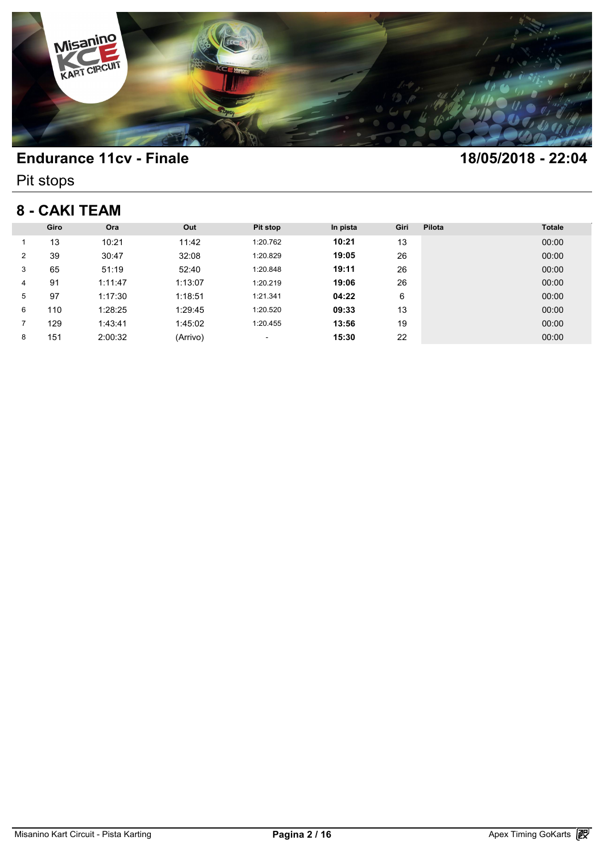

Pit stops

## **8 - CAKI TEAM**

| 8 - CAKI TEAM |      |         |          |                          |          |      |        |               |  |
|---------------|------|---------|----------|--------------------------|----------|------|--------|---------------|--|
|               | Giro | Ora     | Out      | Pit stop                 | In pista | Giri | Pilota | <b>Totale</b> |  |
|               | 13   | 10:21   | 11:42    | 1:20.762                 | 10:21    | 13   |        | 00:00         |  |
| 2             | 39   | 30:47   | 32:08    | 1:20.829                 | 19:05    | 26   |        | 00:00         |  |
| 3             | 65   | 51:19   | 52:40    | 1:20.848                 | 19:11    | 26   |        | 00:00         |  |
| 4             | 91   | 1:11:47 | 1:13:07  | 1:20.219                 | 19:06    | 26   |        | 00:00         |  |
| 5             | 97   | 1:17:30 | 1:18:51  | 1:21.341                 | 04:22    | 6    |        | 00:00         |  |
| 6             | 110  | 1:28:25 | 1:29:45  | 1:20.520                 | 09:33    | 13   |        | 00:00         |  |
| 7             | 129  | 1:43:41 | 1:45:02  | 1:20.455                 | 13:56    | 19   |        | 00:00         |  |
| 8             | 151  | 2:00:32 | (Arrivo) | $\overline{\phantom{a}}$ | 15:30    | 22   |        | 00:00         |  |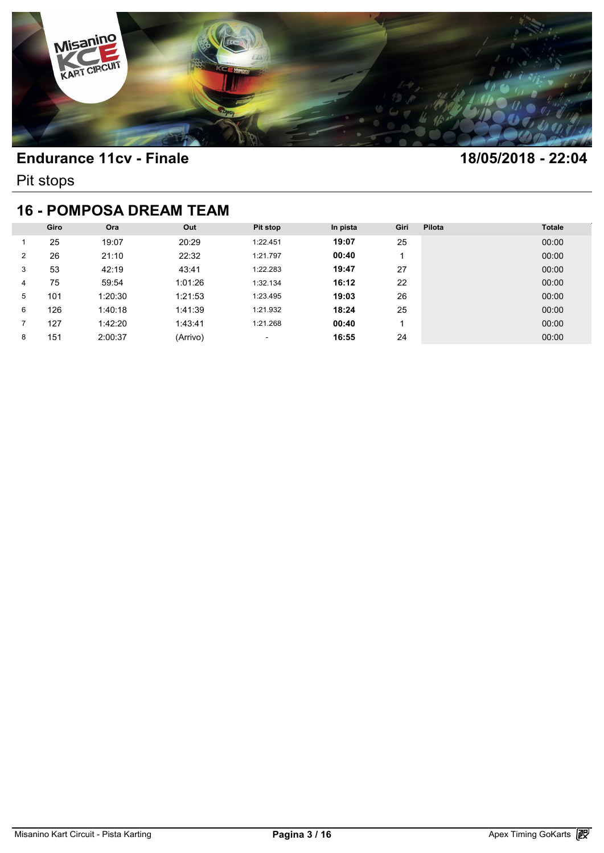

Pit stops

### **16 - POMPOSA DREAM TEAM**

| <b>16 - POMPOSA DREAM TEAM</b> |      |         |          |                          |          |      |        |               |  |  |
|--------------------------------|------|---------|----------|--------------------------|----------|------|--------|---------------|--|--|
|                                | Giro | Ora     | Out      | Pit stop                 | In pista | Giri | Pilota | <b>Totale</b> |  |  |
|                                | 25   | 19:07   | 20:29    | 1:22.451                 | 19:07    | 25   |        | 00:00         |  |  |
| 2                              | 26   | 21:10   | 22:32    | 1:21.797                 | 00:40    |      |        | 00:00         |  |  |
| 3                              | 53   | 42:19   | 43:41    | 1:22.283                 | 19:47    | 27   |        | 00:00         |  |  |
| 4                              | 75   | 59:54   | 1:01:26  | 1:32.134                 | 16:12    | 22   |        | 00:00         |  |  |
| 5                              | 101  | 1:20:30 | 1:21:53  | 1:23.495                 | 19:03    | 26   |        | 00:00         |  |  |
| 6                              | 126  | 1:40:18 | 1:41:39  | 1:21.932                 | 18:24    | 25   |        | 00:00         |  |  |
|                                | 127  | 1:42:20 | 1:43:41  | 1:21.268                 | 00:40    |      |        | 00:00         |  |  |
| 8                              | 151  | 2:00:37 | (Arrivo) | $\overline{\phantom{a}}$ | 16:55    | 24   |        | 00:00         |  |  |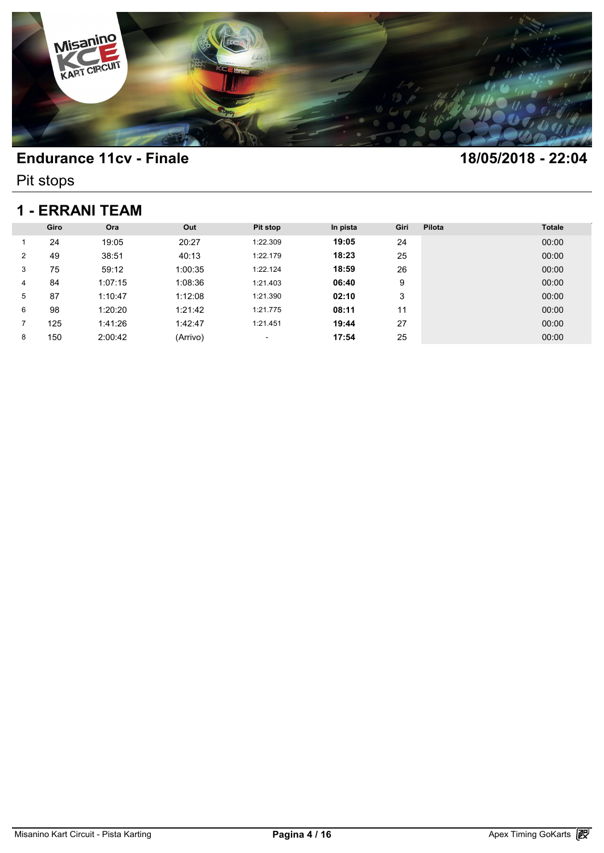

Pit stops

### **1 - ERRANI TEAM**

| 1 - ERRANI TEAM |      |         |          |          |          |      |        |               |  |
|-----------------|------|---------|----------|----------|----------|------|--------|---------------|--|
|                 | Giro | Ora     | Out      | Pit stop | In pista | Giri | Pilota | <b>Totale</b> |  |
|                 | 24   | 19:05   | 20:27    | 1:22.309 | 19:05    | 24   |        | 00:00         |  |
| $\overline{2}$  | 49   | 38:51   | 40:13    | 1:22.179 | 18:23    | 25   |        | 00:00         |  |
| 3               | 75   | 59:12   | 1:00:35  | 1:22.124 | 18:59    | 26   |        | 00:00         |  |
| 4               | 84   | 1:07:15 | 1:08:36  | 1:21.403 | 06:40    | 9    |        | 00:00         |  |
| 5               | 87   | 1:10:47 | 1:12:08  | 1:21.390 | 02:10    | 3    |        | 00:00         |  |
| 6               | 98   | 1:20:20 | 1:21:42  | 1:21.775 | 08:11    | 11   |        | 00:00         |  |
|                 | 125  | 1:41:26 | 1:42:47  | 1:21.451 | 19:44    | 27   |        | 00:00         |  |
| 8               | 150  | 2:00:42 | (Arrivo) | ٠        | 17:54    | 25   |        | 00:00         |  |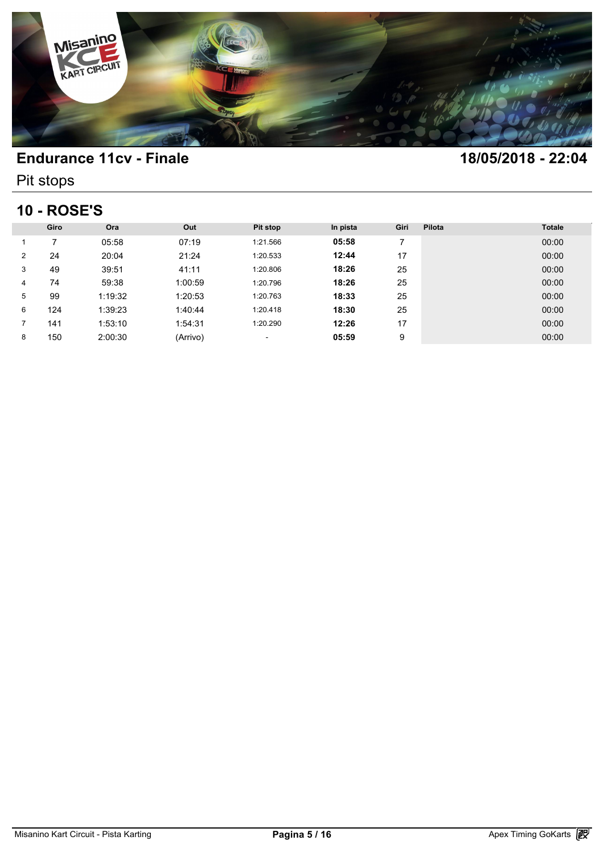

Pit stops

# **10 - ROSE'S**

| <b>10 - ROSE'S</b> |      |         |          |          |          |                |        |               |  |
|--------------------|------|---------|----------|----------|----------|----------------|--------|---------------|--|
|                    | Giro | Ora     | Out      | Pit stop | In pista | Giri           | Pilota | <b>Totale</b> |  |
|                    | ⇁    | 05:58   | 07:19    | 1:21.566 | 05:58    | $\overline{7}$ |        | 00:00         |  |
| $\overline{2}$     | 24   | 20:04   | 21:24    | 1:20.533 | 12:44    | 17             |        | 00:00         |  |
| 3                  | 49   | 39:51   | 41:11    | 1:20.806 | 18:26    | 25             |        | 00:00         |  |
| 4                  | 74   | 59:38   | 1:00:59  | 1:20.796 | 18:26    | 25             |        | 00:00         |  |
| 5                  | 99   | 1:19:32 | 1:20:53  | 1:20.763 | 18:33    | 25             |        | 00:00         |  |
| 6                  | 124  | 1:39:23 | 1:40:44  | 1:20.418 | 18:30    | 25             |        | 00:00         |  |
|                    | 141  | 1:53:10 | 1:54:31  | 1:20.290 | 12:26    | 17             |        | 00:00         |  |
| 8                  | 150  | 2:00:30 | (Arrivo) | ٠        | 05:59    | 9              |        | 00:00         |  |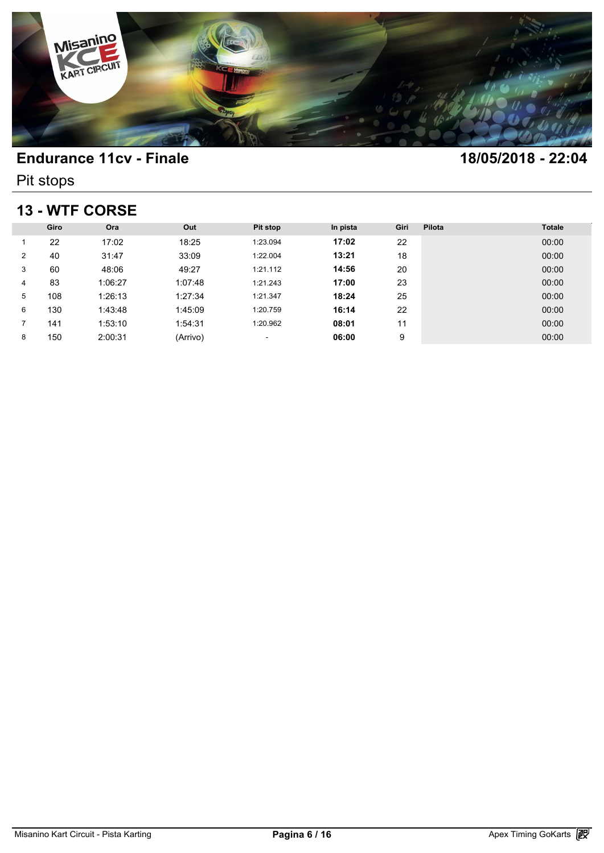

Pit stops

## **13 - WTF CORSE**

| 13 - WTF CORSE |      |         |          |                          |          |      |        |               |  |
|----------------|------|---------|----------|--------------------------|----------|------|--------|---------------|--|
|                | Giro | Ora     | Out      | Pit stop                 | In pista | Giri | Pilota | <b>Totale</b> |  |
|                | 22   | 17:02   | 18:25    | 1:23.094                 | 17:02    | 22   |        | 00:00         |  |
| $\overline{2}$ | 40   | 31:47   | 33:09    | 1:22.004                 | 13:21    | 18   |        | 00:00         |  |
| 3              | 60   | 48:06   | 49:27    | 1:21.112                 | 14:56    | 20   |        | 00:00         |  |
| 4              | 83   | 1:06:27 | 1:07:48  | 1:21.243                 | 17:00    | 23   |        | 00:00         |  |
| 5              | 108  | 1:26:13 | 1:27:34  | 1:21.347                 | 18:24    | 25   |        | 00:00         |  |
| 6              | 130  | 1:43:48 | 1:45:09  | 1:20.759                 | 16:14    | 22   |        | 00:00         |  |
| 7              | 141  | 1:53:10 | 1:54:31  | 1:20.962                 | 08:01    | 11   |        | 00:00         |  |
| 8              | 150  | 2:00:31 | (Arrivo) | $\overline{\phantom{a}}$ | 06:00    | 9    |        | 00:00         |  |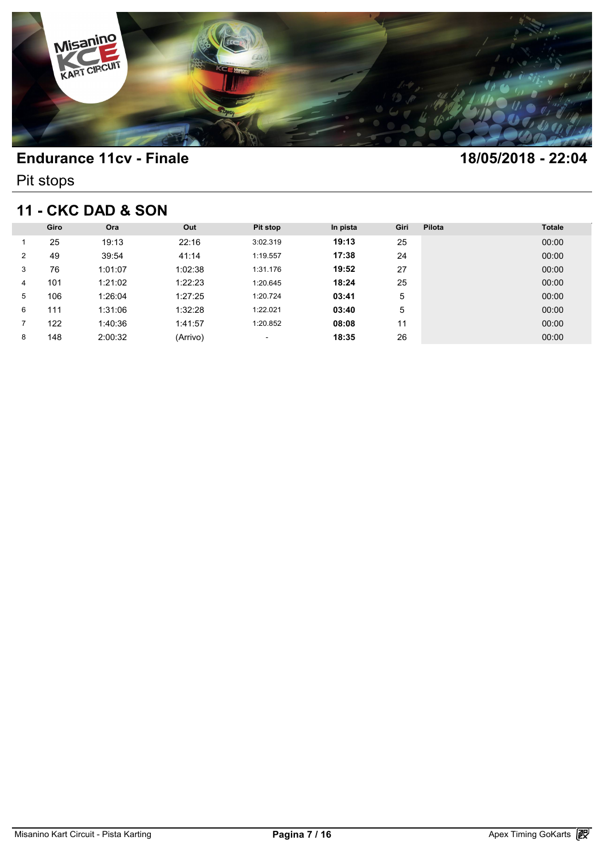

Pit stops

## **11 - CKC DAD & SON**

| <b>11 - CKC DAD &amp; SON</b> |      |         |          |                          |          |      |        |               |  |
|-------------------------------|------|---------|----------|--------------------------|----------|------|--------|---------------|--|
|                               | Giro | Ora     | Out      | <b>Pit stop</b>          | In pista | Giri | Pilota | <b>Totale</b> |  |
|                               | 25   | 19:13   | 22:16    | 3:02.319                 | 19:13    | 25   |        | 00:00         |  |
| 2                             | 49   | 39:54   | 41:14    | 1:19.557                 | 17:38    | 24   |        | 00:00         |  |
| 3                             | 76   | 1:01:07 | 1:02:38  | 1:31.176                 | 19:52    | 27   |        | 00:00         |  |
| 4                             | 101  | 1:21:02 | 1:22:23  | 1:20.645                 | 18:24    | 25   |        | 00:00         |  |
| 5                             | 106  | 1:26:04 | 1:27:25  | 1:20.724                 | 03:41    | 5    |        | 00:00         |  |
| 6                             | 111  | 1:31:06 | 1:32:28  | 1:22.021                 | 03:40    | 5    |        | 00:00         |  |
| 7                             | 122  | 1:40:36 | 1:41:57  | 1:20.852                 | 08:08    | 11   |        | 00:00         |  |
| 8                             | 148  | 2:00:32 | (Arrivo) | $\overline{\phantom{a}}$ | 18:35    | 26   |        | 00:00         |  |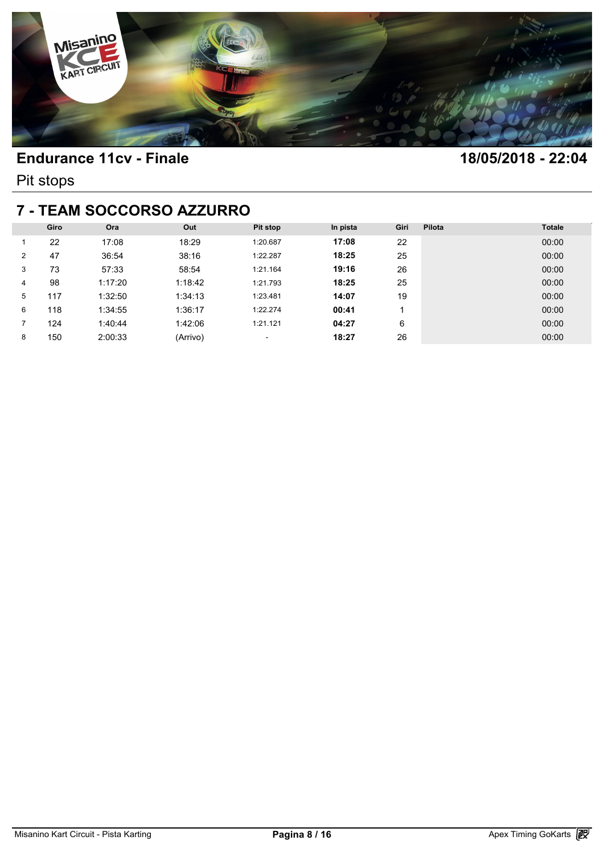

Pit stops

#### **7 - TEAM SOCCORSO AZZURRO**

| 7 - TEAM SOCCORSO AZZURRO |      |         |          |                          |          |      |        |               |  |  |
|---------------------------|------|---------|----------|--------------------------|----------|------|--------|---------------|--|--|
|                           | Giro | Ora     | Out      | Pit stop                 | In pista | Giri | Pilota | <b>Totale</b> |  |  |
|                           | 22   | 17:08   | 18:29    | 1:20.687                 | 17:08    | 22   |        | 00:00         |  |  |
| 2                         | 47   | 36:54   | 38:16    | 1:22.287                 | 18:25    | 25   |        | 00:00         |  |  |
| 3                         | 73   | 57:33   | 58:54    | 1:21.164                 | 19:16    | 26   |        | 00:00         |  |  |
| 4                         | 98   | 1:17:20 | 1:18:42  | 1:21.793                 | 18:25    | 25   |        | 00:00         |  |  |
| 5                         | 117  | 1:32:50 | 1:34:13  | 1:23.481                 | 14:07    | 19   |        | 00:00         |  |  |
| 6                         | 118  | 1:34:55 | 1:36:17  | 1:22.274                 | 00:41    |      |        | 00:00         |  |  |
|                           | 124  | 1:40:44 | 1:42:06  | 1:21.121                 | 04:27    | 6    |        | 00:00         |  |  |
| 8                         | 150  | 2:00:33 | (Arrivo) | $\overline{\phantom{a}}$ | 18:27    | 26   |        | 00:00         |  |  |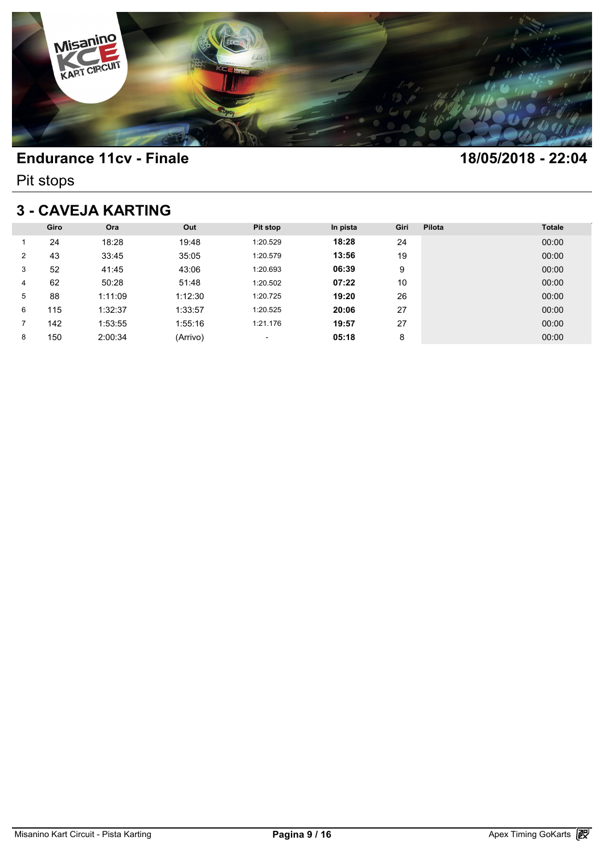

Pit stops

## **3 - CAVEJA KARTING**

| <b>3 - CAVEJA KARTING</b> |      |         |          |          |          |      |        |               |  |  |
|---------------------------|------|---------|----------|----------|----------|------|--------|---------------|--|--|
|                           | Giro | Ora     | Out      | Pit stop | In pista | Giri | Pilota | <b>Totale</b> |  |  |
|                           | 24   | 18:28   | 19:48    | 1:20.529 | 18:28    | 24   |        | 00:00         |  |  |
| 2                         | 43   | 33:45   | 35:05    | 1:20.579 | 13:56    | 19   |        | 00:00         |  |  |
| 3                         | 52   | 41:45   | 43:06    | 1:20.693 | 06:39    | 9    |        | 00:00         |  |  |
| 4                         | 62   | 50:28   | 51:48    | 1:20.502 | 07:22    | 10   |        | 00:00         |  |  |
| 5                         | 88   | 1:11:09 | 1:12:30  | 1:20.725 | 19:20    | 26   |        | 00:00         |  |  |
| 6                         | 115  | 1:32:37 | 1:33:57  | 1:20.525 | 20:06    | 27   |        | 00:00         |  |  |
|                           | 142  | 1:53:55 | 1:55:16  | 1:21.176 | 19:57    | 27   |        | 00:00         |  |  |
| 8                         | 150  | 2:00:34 | (Arrivo) | ٠        | 05:18    | 8    |        | 00:00         |  |  |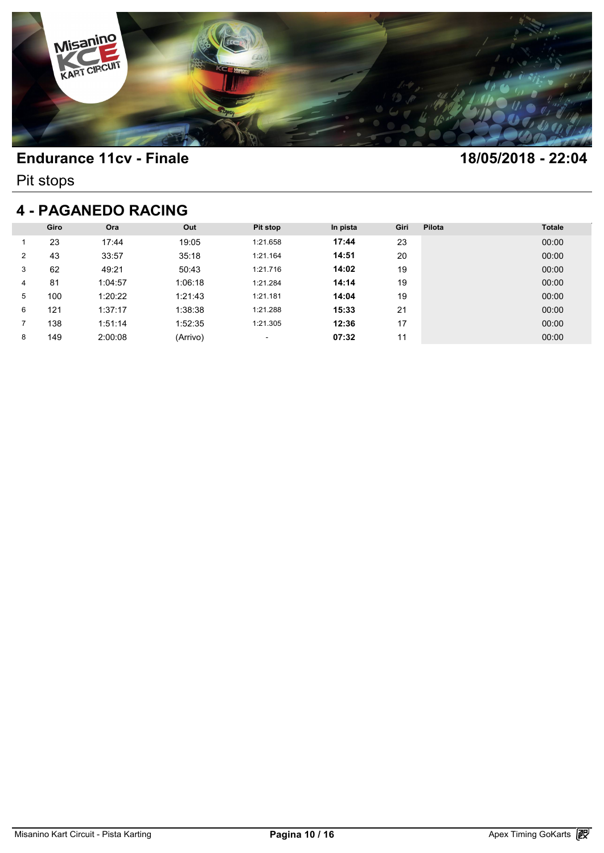

Pit stops

#### **4 - PAGANEDO RACING**

|   | Giro | Ora     | Out      | Pit stop | In pista | Giri | Pilota | <b>Totale</b> |
|---|------|---------|----------|----------|----------|------|--------|---------------|
|   | 23   | 17:44   | 19:05    | 1:21.658 | 17:44    | 23   |        | 00:00         |
| 2 | 43   | 33:57   | 35:18    | 1:21.164 | 14:51    | 20   |        | 00:00         |
| 3 | 62   | 49:21   | 50:43    | 1:21.716 | 14:02    | 19   |        | 00:00         |
| 4 | 81   | 1:04:57 | 1:06:18  | 1:21.284 | 14:14    | 19   |        | 00:00         |
| 5 | 100  | 1:20:22 | 1:21:43  | 1:21.181 | 14:04    | 19   |        | 00:00         |
| 6 | 121  | 1:37:17 | 1:38:38  | 1:21.288 | 15:33    | 21   |        | 00:00         |
|   | 138  | 1:51:14 | 1:52:35  | 1:21.305 | 12:36    | 17   |        | 00:00         |
| 8 | 149  | 2:00:08 | (Arrivo) | ٠        | 07:32    | 11   |        | 00:00         |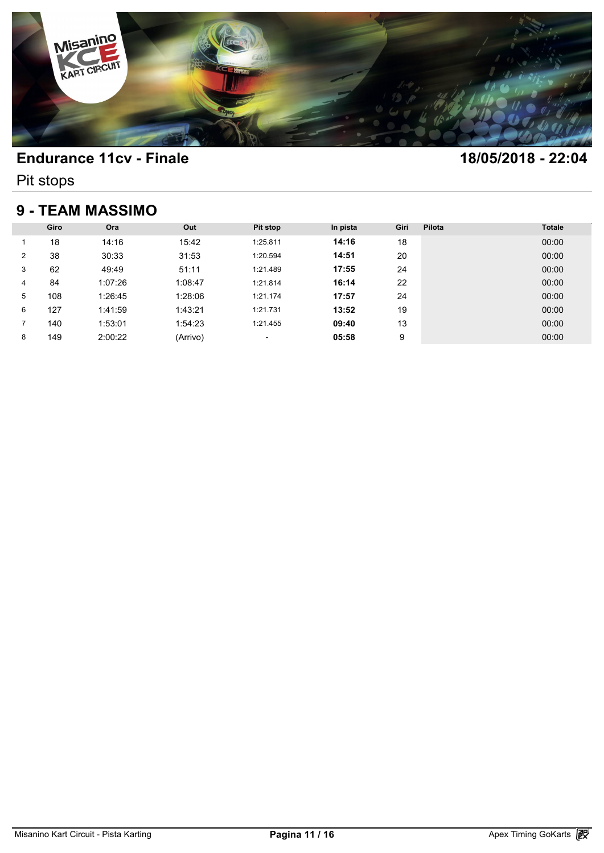

Pit stops

### **9 - TEAM MASSIMO**

| <b>9 - TEAM MASSIMO</b> |      |         |          |                          |          |      |        |               |  |
|-------------------------|------|---------|----------|--------------------------|----------|------|--------|---------------|--|
|                         | Giro | Ora     | Out      | <b>Pit stop</b>          | In pista | Giri | Pilota | <b>Totale</b> |  |
|                         | 18   | 14:16   | 15:42    | 1:25.811                 | 14:16    | 18   |        | 00:00         |  |
| 2                       | 38   | 30:33   | 31:53    | 1:20.594                 | 14:51    | 20   |        | 00:00         |  |
| 3                       | 62   | 49:49   | 51:11    | 1:21.489                 | 17:55    | 24   |        | 00:00         |  |
| 4                       | 84   | 1:07:26 | 1:08:47  | 1:21.814                 | 16:14    | 22   |        | 00:00         |  |
| 5                       | 108  | 1:26:45 | 1:28:06  | 1:21.174                 | 17:57    | 24   |        | 00:00         |  |
| 6                       | 127  | 1:41:59 | 1:43:21  | 1:21.731                 | 13:52    | 19   |        | 00:00         |  |
| 7                       | 140  | 1:53:01 | 1:54:23  | 1:21.455                 | 09:40    | 13   |        | 00:00         |  |
| 8                       | 149  | 2:00:22 | (Arrivo) | $\overline{\phantom{a}}$ | 05:58    | 9    |        | 00:00         |  |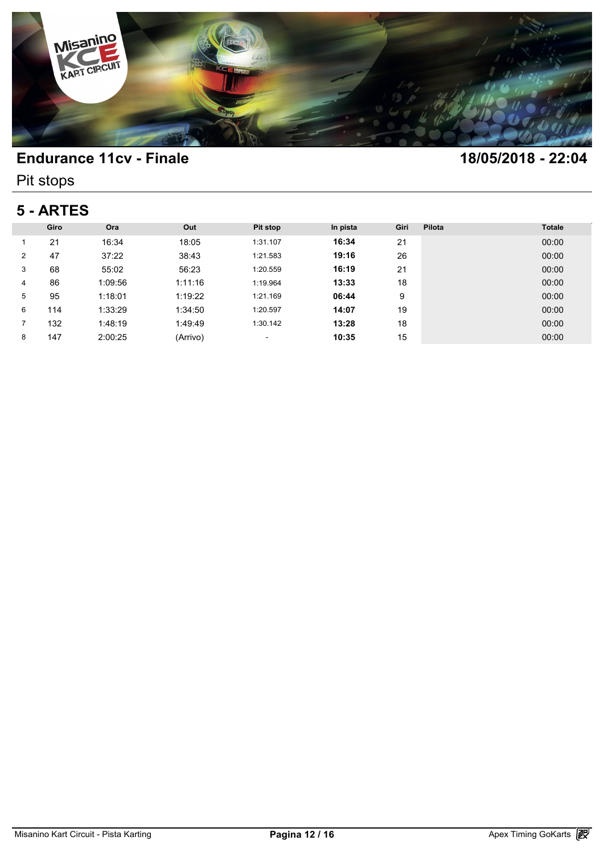

Pit stops

# **5 - ARTES**

| 5 - ARTES      |      |         |          |          |          |      |        |               |  |
|----------------|------|---------|----------|----------|----------|------|--------|---------------|--|
|                | Giro | Ora     | Out      | Pit stop | In pista | Giri | Pilota | <b>Totale</b> |  |
|                | 21   | 16:34   | 18:05    | 1:31.107 | 16:34    | 21   |        | 00:00         |  |
| $\overline{2}$ | 47   | 37:22   | 38:43    | 1:21.583 | 19:16    | 26   |        | 00:00         |  |
| 3              | 68   | 55:02   | 56:23    | 1:20.559 | 16:19    | 21   |        | 00:00         |  |
| 4              | 86   | 1:09:56 | 1:11:16  | 1:19.964 | 13:33    | 18   |        | 00:00         |  |
| 5              | 95   | 1:18:01 | 1:19:22  | 1:21.169 | 06:44    | 9    |        | 00:00         |  |
| 6              | 114  | 1:33:29 | 1:34:50  | 1:20.597 | 14:07    | 19   |        | 00:00         |  |
|                | 132  | 1:48:19 | 1:49:49  | 1:30.142 | 13:28    | 18   |        | 00:00         |  |
| 8              | 147  | 2:00:25 | (Arrivo) | ٠        | 10:35    | 15   |        | 00:00         |  |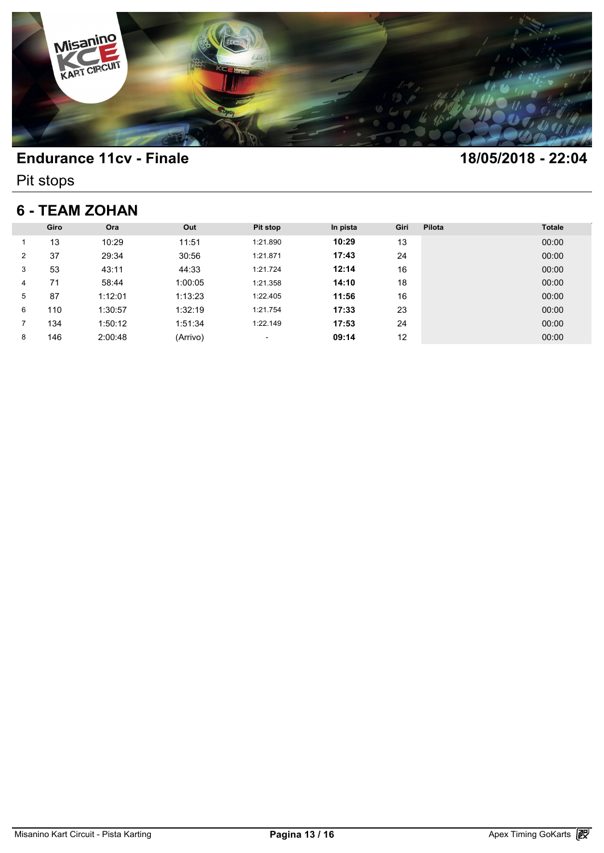

Pit stops

### **6 - TEAM ZOHAN**

| <b>6 - TEAM ZOHAN</b> |      |         |          |          |          |      |        |               |
|-----------------------|------|---------|----------|----------|----------|------|--------|---------------|
|                       | Giro | Ora     | Out      | Pit stop | In pista | Giri | Pilota | <b>Totale</b> |
|                       | 13   | 10:29   | 11:51    | 1:21.890 | 10:29    | 13   |        | 00:00         |
| $\overline{2}$        | 37   | 29:34   | 30:56    | 1:21.871 | 17:43    | 24   |        | 00:00         |
| 3                     | 53   | 43:11   | 44:33    | 1:21.724 | 12:14    | 16   |        | 00:00         |
| 4                     | 71   | 58:44   | 1:00:05  | 1:21.358 | 14:10    | 18   |        | 00:00         |
| 5                     | 87   | 1:12:01 | 1:13:23  | 1:22.405 | 11:56    | 16   |        | 00:00         |
| 6                     | 110  | 1:30:57 | 1:32:19  | 1:21.754 | 17:33    | 23   |        | 00:00         |
|                       | 134  | 1:50:12 | 1:51:34  | 1:22.149 | 17:53    | 24   |        | 00:00         |
| 8                     | 146  | 2:00:48 | (Arrivo) | ٠        | 09:14    | 12   |        | 00:00         |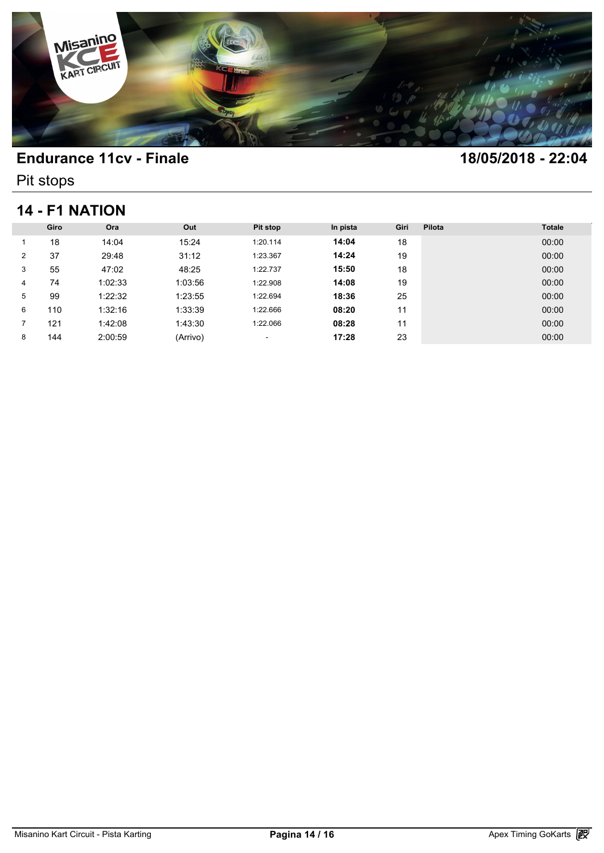

Pit stops

### **14 - F1 NATION**

| 14 - F1 NATION |      |         |          |          |          |      |        |               |
|----------------|------|---------|----------|----------|----------|------|--------|---------------|
|                | Giro | Ora     | Out      | Pit stop | In pista | Giri | Pilota | <b>Totale</b> |
|                | 18   | 14:04   | 15:24    | 1:20.114 | 14:04    | 18   |        | 00:00         |
| $\overline{2}$ | 37   | 29:48   | 31:12    | 1:23.367 | 14:24    | 19   |        | 00:00         |
| 3              | 55   | 47:02   | 48:25    | 1:22.737 | 15:50    | 18   |        | 00:00         |
| 4              | 74   | 1:02:33 | 1:03:56  | 1:22.908 | 14:08    | 19   |        | 00:00         |
| 5              | 99   | 1:22:32 | 1:23:55  | 1:22.694 | 18:36    | 25   |        | 00:00         |
| 6              | 110  | 1:32:16 | 1:33:39  | 1:22.666 | 08:20    | 11   |        | 00:00         |
|                | 121  | 1:42:08 | 1:43:30  | 1:22.066 | 08:28    | 11   |        | 00:00         |
| 8              | 144  | 2:00:59 | (Arrivo) | ٠        | 17:28    | 23   |        | 00:00         |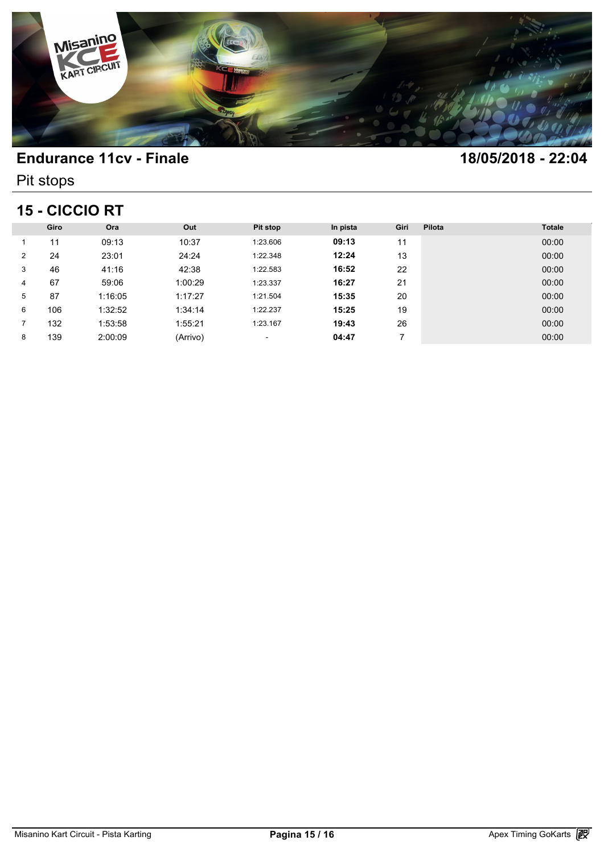

Pit stops

# **15 - CICCIO RT**

| <b>15 - CICCIO RT</b> |      |         |          |          |          |      |        |               |
|-----------------------|------|---------|----------|----------|----------|------|--------|---------------|
|                       | Giro | Ora     | Out      | Pit stop | In pista | Giri | Pilota | <b>Totale</b> |
|                       | 11   | 09:13   | 10:37    | 1:23.606 | 09:13    | 11   |        | 00:00         |
| $\overline{2}$        | 24   | 23:01   | 24:24    | 1:22.348 | 12:24    | 13   |        | 00:00         |
| 3                     | 46   | 41:16   | 42:38    | 1:22.583 | 16:52    | 22   |        | 00:00         |
| 4                     | 67   | 59:06   | 1:00:29  | 1:23.337 | 16:27    | 21   |        | 00:00         |
| 5                     | 87   | 1:16:05 | 1:17:27  | 1:21.504 | 15:35    | 20   |        | 00:00         |
| 6                     | 106  | 1:32:52 | 1:34:14  | 1:22.237 | 15:25    | 19   |        | 00:00         |
|                       | 132  | 1:53:58 | 1:55:21  | 1:23.167 | 19:43    | 26   |        | 00:00         |
| 8                     | 139  | 2:00:09 | (Arrivo) | ٠        | 04:47    |      |        | 00:00         |